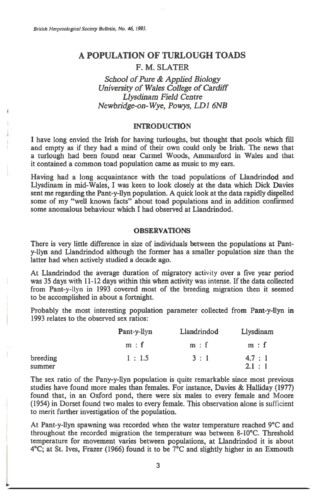# **A POPULATION OF TURLOUGH TOADS F. M. SLATER**

# *School of Pure & Applied Biology University of Wales College of Cardiff Llysdinam Field Centre Newbridge-on-Wye, Powys, LD1 6NB*

#### **INTRODUCTION**

**I have long envied the Irish for having turloughs, but thought that pools which fill and empty as if they had a mind of their own could only be Irish. The news that a turlough had been found near Cannel Woods, Ammanford in Wales and that it contained a common toad population came as music to my ears.** 

**Having had a long acquaintance with the toad populations of Llandrindod and Llysdinam in mid-Wales, I was keen to look closely at the data which Dick Davies sent me regarding the Pant-y-llyn population. A quick look at the data rapidly dispelled some of my "well known facts" about toad populations and in addition confirmed some anomalous behaviour which I had observed at Llandrindod.** 

## **OBSERVATIONS**

**There is very little difference in size of individuals between the populations at Panty-llyn and Llandrindod although the former has a smaller population size than the latter had when actively studied a decade ago.** 

**At Llandrindod the average duration of migratory activity over a five year period was 35 days with 11-12 days within this when activity was intense. If the data collected from Pant-y-llyn in 1993 covered most of the breeding migration then it seemed to be accomplished in about a fortnight.** 

**Probably the most interesting population parameter collected from Pant-y-llyn in 1993 relates to the observed sex ratios:** 

|          | Pant-y-llyn<br>m : f | Llandrindod<br>m : f | Llysdinam<br>m : f |
|----------|----------------------|----------------------|--------------------|
|          |                      |                      |                    |
| breeding | 1:1.5                | 3:1                  | 4.7:1              |
| summer   |                      |                      | 2.1 : 1            |

**The sex ratio of the Pany-y-llyn population is quite remarkable since most previous studies have found more males than females. For instance, Davies & Halliday (1977) found that, in an Oxford pond, there were six males to every female and Moore (1954) in Dorset found two males to every female. This observation alone is sufficient to merit further investigation of the population.** 

**At Pant-y-llyn spawning was recorded when the water temperature reached 9°C and throughout the recorded migration the temperature was between 8-10°C. Threshold temperature for movement varies between populations, at Llandrindod it is about 4°C; at St. Ives, Frazer (1966) found it to be 7°C and slightly higher in an Exmouth**